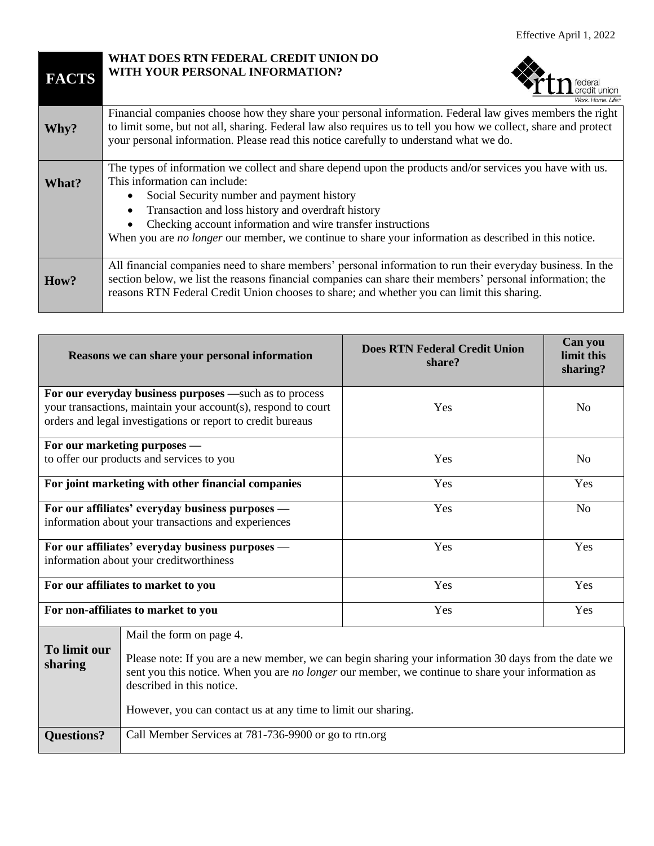| <b>FACTS</b> | WHAT DOES RTN FEDERAL CREDIT UNION DO<br>WITH YOUR PERSONAL INFORMATION?                                                                                                                                                                                                                                                                                                                                              |
|--------------|-----------------------------------------------------------------------------------------------------------------------------------------------------------------------------------------------------------------------------------------------------------------------------------------------------------------------------------------------------------------------------------------------------------------------|
| Why?         | Financial companies choose how they share your personal information. Federal law gives members the right<br>to limit some, but not all, sharing. Federal law also requires us to tell you how we collect, share and protect<br>your personal information. Please read this notice carefully to understand what we do.                                                                                                 |
| What?        | The types of information we collect and share depend upon the products and/or services you have with us.<br>This information can include:<br>Social Security number and payment history<br>Transaction and loss history and overdraft history<br>Checking account information and wire transfer instructions<br>When you are no longer our member, we continue to share your information as described in this notice. |
| How?         | All financial companies need to share members' personal information to run their everyday business. In the<br>section below, we list the reasons financial companies can share their members' personal information; the<br>reasons RTN Federal Credit Union chooses to share; and whether you can limit this sharing.                                                                                                 |

| Reasons we can share your personal information      |                                                                                                                                                                                                                                        | <b>Does RTN Federal Credit Union</b><br>share? | Can you<br>limit this<br>sharing? |  |
|-----------------------------------------------------|----------------------------------------------------------------------------------------------------------------------------------------------------------------------------------------------------------------------------------------|------------------------------------------------|-----------------------------------|--|
|                                                     | For our everyday business purposes —such as to process                                                                                                                                                                                 |                                                |                                   |  |
|                                                     | your transactions, maintain your account(s), respond to court<br>orders and legal investigations or report to credit bureaus                                                                                                           | Yes                                            | N <sub>0</sub>                    |  |
|                                                     |                                                                                                                                                                                                                                        |                                                |                                   |  |
|                                                     | For our marketing purposes —                                                                                                                                                                                                           |                                                |                                   |  |
| to offer our products and services to you           |                                                                                                                                                                                                                                        | Yes                                            | N <sub>0</sub>                    |  |
| For joint marketing with other financial companies  |                                                                                                                                                                                                                                        | Yes                                            | Yes                               |  |
|                                                     | For our affiliates' everyday business purposes —                                                                                                                                                                                       | Yes                                            | N <sub>o</sub>                    |  |
| information about your transactions and experiences |                                                                                                                                                                                                                                        |                                                |                                   |  |
| For our affiliates' everyday business purposes —    |                                                                                                                                                                                                                                        | Yes                                            | Yes                               |  |
| information about your creditworthiness             |                                                                                                                                                                                                                                        |                                                |                                   |  |
| For our affiliates to market to you                 |                                                                                                                                                                                                                                        | Yes                                            | Yes                               |  |
| For non-affiliates to market to you                 |                                                                                                                                                                                                                                        | Yes                                            | Yes                               |  |
|                                                     | Mail the form on page 4.                                                                                                                                                                                                               |                                                |                                   |  |
| To limit our<br>sharing                             | Please note: If you are a new member, we can begin sharing your information 30 days from the date we<br>sent you this notice. When you are no longer our member, we continue to share your information as<br>described in this notice. |                                                |                                   |  |

However, you can contact us at any time to limit our sharing.

| <b>Questions?</b>   Call Member Services at 781-736-9900 or go to rtn.org |
|---------------------------------------------------------------------------|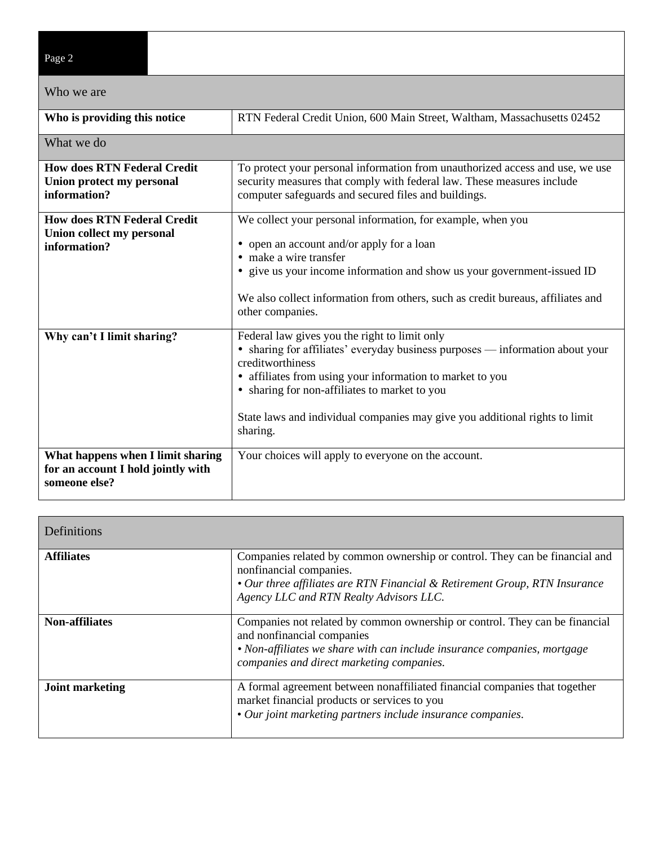| Page 2                                                                                   |                                                                                                                                                                                                                                                                                                                                                             |  |  |
|------------------------------------------------------------------------------------------|-------------------------------------------------------------------------------------------------------------------------------------------------------------------------------------------------------------------------------------------------------------------------------------------------------------------------------------------------------------|--|--|
| Who we are                                                                               |                                                                                                                                                                                                                                                                                                                                                             |  |  |
| Who is providing this notice                                                             | RTN Federal Credit Union, 600 Main Street, Waltham, Massachusetts 02452                                                                                                                                                                                                                                                                                     |  |  |
| What we do                                                                               |                                                                                                                                                                                                                                                                                                                                                             |  |  |
| <b>How does RTN Federal Credit</b><br>Union protect my personal<br>information?          | To protect your personal information from unauthorized access and use, we use<br>security measures that comply with federal law. These measures include<br>computer safeguards and secured files and buildings.                                                                                                                                             |  |  |
| <b>How does RTN Federal Credit</b><br>Union collect my personal<br>information?          | We collect your personal information, for example, when you<br>• open an account and/or apply for a loan<br>• make a wire transfer<br>• give us your income information and show us your government-issued ID<br>We also collect information from others, such as credit bureaus, affiliates and<br>other companies.                                        |  |  |
| Why can't I limit sharing?                                                               | Federal law gives you the right to limit only<br>• sharing for affiliates' everyday business purposes — information about your<br>creditworthiness<br>• affiliates from using your information to market to you<br>• sharing for non-affiliates to market to you<br>State laws and individual companies may give you additional rights to limit<br>sharing. |  |  |
| What happens when I limit sharing<br>for an account I hold jointly with<br>someone else? | Your choices will apply to everyone on the account.                                                                                                                                                                                                                                                                                                         |  |  |

┑

| Definitions            |                                                                                                                                                                                                                                    |
|------------------------|------------------------------------------------------------------------------------------------------------------------------------------------------------------------------------------------------------------------------------|
| <b>Affiliates</b>      | Companies related by common ownership or control. They can be financial and<br>nonfinancial companies.<br>• Our three affiliates are RTN Financial & Retirement Group, RTN Insurance<br>Agency LLC and RTN Realty Advisors LLC.    |
| <b>Non-affiliates</b>  | Companies not related by common ownership or control. They can be financial<br>and nonfinancial companies<br>• Non-affiliates we share with can include insurance companies, mortgage<br>companies and direct marketing companies. |
| <b>Joint marketing</b> | A formal agreement between nonaffiliated financial companies that together<br>market financial products or services to you<br>• Our joint marketing partners include insurance companies.                                          |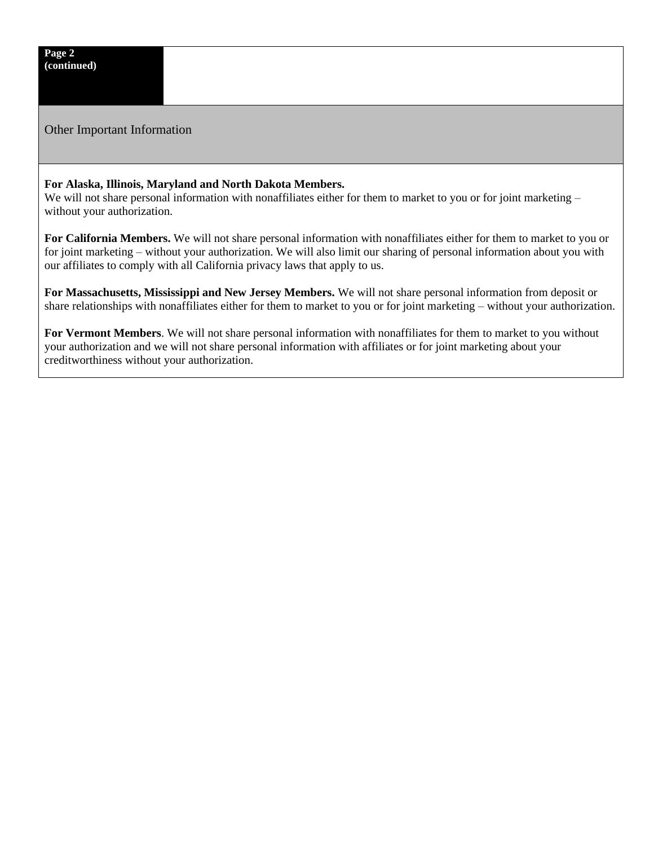Other Important Information

## **For Alaska, Illinois, Maryland and North Dakota Members.**

We will not share personal information with nonaffiliates either for them to market to you or for joint marketing – without your authorization.

**For California Members.** We will not share personal information with nonaffiliates either for them to market to you or for joint marketing – without your authorization. We will also limit our sharing of personal information about you with our affiliates to comply with all California privacy laws that apply to us.

**For Massachusetts, Mississippi and New Jersey Members.** We will not share personal information from deposit or share relationships with nonaffiliates either for them to market to you or for joint marketing – without your authorization.

**For Vermont Members**. We will not share personal information with nonaffiliates for them to market to you without your authorization and we will not share personal information with affiliates or for joint marketing about your creditworthiness without your authorization.